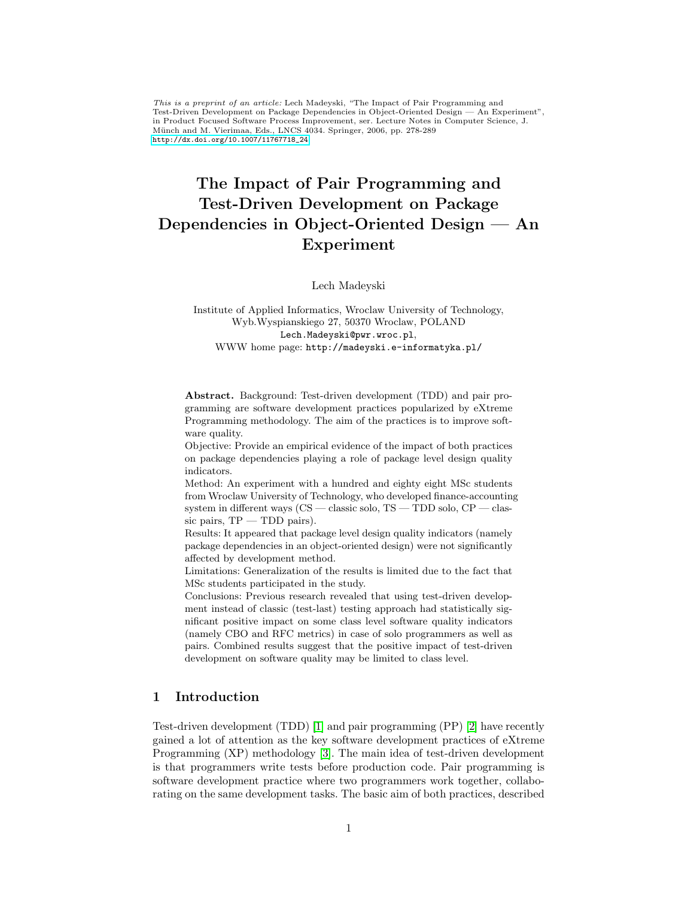This is a preprint of an article: Lech Madeyski, "The Impact of Pair Programming and Test-Driven Development on Package Dependencies in Object-Oriented Design — An Experiment", in Product Focused Software Process Improvement, ser. Lecture Notes in Computer Science, J.<br>Münch and M. Vierimaa, Eds., LNCS 4034. Springer, 2006, pp. 278-289 [http://dx.doi.org/10.1007/11767718\\_24](http://dx.doi.org/10.1007/11767718_24)

# The Impact of Pair Programming and Test-Driven Development on Package Dependencies in Object-Oriented Design — An Experiment

Lech Madeyski

Institute of Applied Informatics, Wroclaw University of Technology, Wyb.Wyspianskiego 27, 50370 Wroclaw, POLAND Lech.Madeyski@pwr.wroc.pl, WWW home page: http://madeyski.e-informatyka.pl/

Abstract. Background: Test-driven development (TDD) and pair programming are software development practices popularized by eXtreme Programming methodology. The aim of the practices is to improve software quality.

Objective: Provide an empirical evidence of the impact of both practices on package dependencies playing a role of package level design quality indicators.

Method: An experiment with a hundred and eighty eight MSc students from Wroclaw University of Technology, who developed finance-accounting system in different ways  $\text{CS}$  — classic solo, TS — TDD solo,  $\text{CP}$  — classic pairs,  $TP - TDD$  pairs).

Results: It appeared that package level design quality indicators (namely package dependencies in an object-oriented design) were not significantly affected by development method.

Limitations: Generalization of the results is limited due to the fact that MSc students participated in the study.

Conclusions: Previous research revealed that using test-driven development instead of classic (test-last) testing approach had statistically significant positive impact on some class level software quality indicators (namely CBO and RFC metrics) in case of solo programmers as well as pairs. Combined results suggest that the positive impact of test-driven development on software quality may be limited to class level.

## 1 Introduction

Test-driven development (TDD) [\[1\]](#page-10-0) and pair programming (PP) [\[2\]](#page-10-1) have recently gained a lot of attention as the key software development practices of eXtreme Programming (XP) methodology [\[3\]](#page-10-2). The main idea of test-driven development is that programmers write tests before production code. Pair programming is software development practice where two programmers work together, collaborating on the same development tasks. The basic aim of both practices, described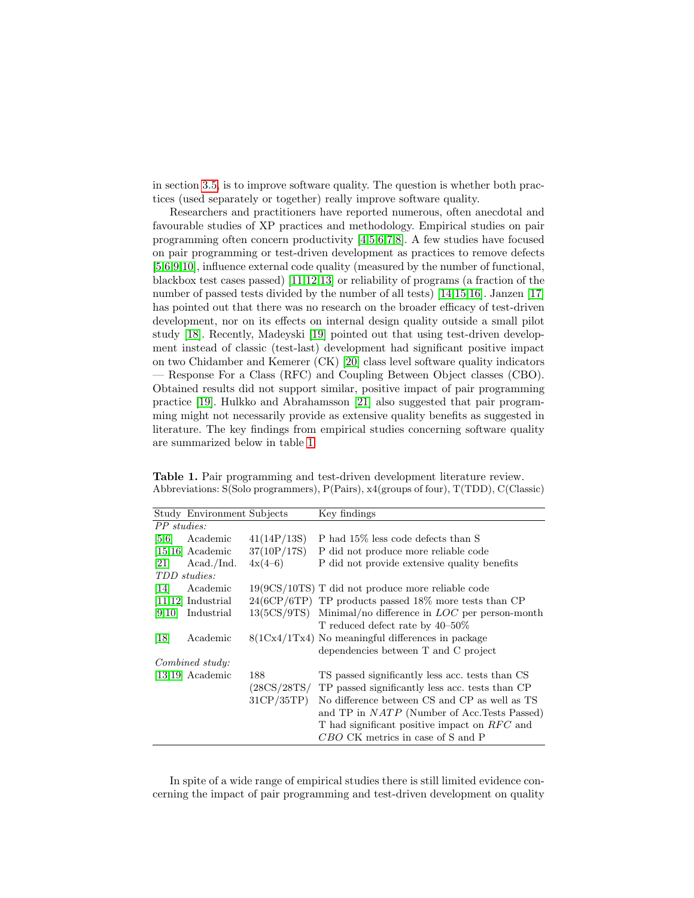in section [3.5,](#page-4-0) is to improve software quality. The question is whether both practices (used separately or together) really improve software quality.

Researchers and practitioners have reported numerous, often anecdotal and favourable studies of XP practices and methodology. Empirical studies on pair programming often concern productivity [\[4,](#page-10-3)[5,](#page-10-4)[6,](#page-10-5)[7](#page-10-6)[,8\]](#page-10-7). A few studies have focused on pair programming or test-driven development as practices to remove defects [\[5,](#page-10-4)[6](#page-10-5)[,9,](#page-10-8)[10\]](#page-10-9), influence external code quality (measured by the number of functional, blackbox test cases passed) [\[11,](#page-10-10)[12,](#page-10-11)[13\]](#page-10-12) or reliability of programs (a fraction of the number of passed tests divided by the number of all tests) [\[14,](#page-10-13)[15](#page-10-14)[,16\]](#page-10-15). Janzen [\[17\]](#page-10-16) has pointed out that there was no research on the broader efficacy of test-driven development, nor on its effects on internal design quality outside a small pilot study [\[18\]](#page-11-0). Recently, Madeyski [\[19\]](#page-11-1) pointed out that using test-driven development instead of classic (test-last) development had significant positive impact on two Chidamber and Kemerer (CK) [\[20\]](#page-11-2) class level software quality indicators — Response For a Class (RFC) and Coupling Between Object classes (CBO). Obtained results did not support similar, positive impact of pair programming practice [\[19\]](#page-11-1). Hulkko and Abrahamsson [\[21\]](#page-11-3) also suggested that pair programming might not necessarily provide as extensive quality benefits as suggested in literature. The key findings from empirical studies concerning software quality are summarized below in table [1.](#page-1-0)

|             | Study Environment Subjects |             | Key findings                                                  |
|-------------|----------------------------|-------------|---------------------------------------------------------------|
| PP studies: |                            |             |                                                               |
| [5,6]       | Academic                   | 41(14P/13S) | P had 15% less code defects than S                            |
|             | $[15,16]$ Academic         | 37(10P/17S) | P did not produce more reliable code                          |
| 21          | Acad./Ind.                 | $4x(4-6)$   | P did not provide extensive quality benefits                  |
|             | TDD studies:               |             |                                                               |
| 14          | Academic                   |             | $19(9CS/10TS)$ T did not produce more reliable code           |
|             | $[11,12]$ Industrial       |             | $24(6CP/6TP)$ TP products passed 18% more tests than CP       |
| [9,10]      | Industrial                 |             | $13(5CS/9TS)$ Minimal/no difference in $LOC$ per person-month |
|             |                            |             | T reduced defect rate by 40–50%                               |
| 18          | Academic                   |             | $8(1Cx4/1Tx4)$ No meaningful differences in package           |
|             |                            |             | dependencies between T and C project                          |
|             | Combined study:            |             |                                                               |
|             | $[13,19]$ Academic         | 188         | TS passed significantly less acc. tests than CS               |
|             |                            | (28CS/28TS/ | TP passed significantly less acc. tests than CP               |
|             |                            | 31CP/35TP   | No difference between CS and CP as well as TS                 |
|             |                            |             | and TP in <i>NATP</i> (Number of Acc. Tests Passed)           |
|             |                            |             | T had significant positive impact on RFC and                  |
|             |                            |             | CBO CK metrics in case of S and P                             |

<span id="page-1-0"></span>Table 1. Pair programming and test-driven development literature review. Abbreviations: S(Solo programmers), P(Pairs), x4(groups of four), T(TDD), C(Classic)

In spite of a wide range of empirical studies there is still limited evidence concerning the impact of pair programming and test-driven development on quality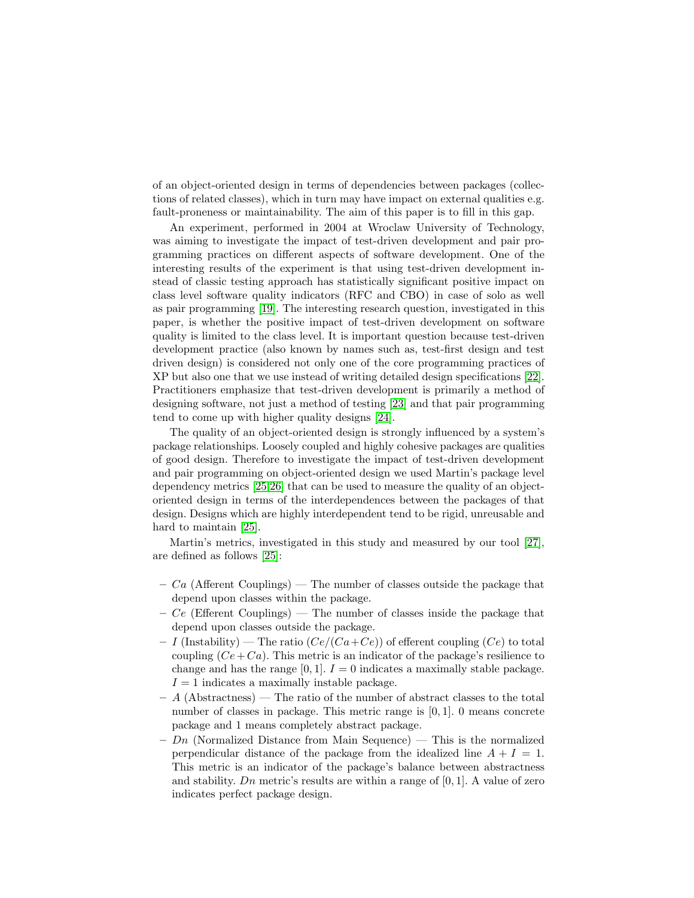of an object-oriented design in terms of dependencies between packages (collections of related classes), which in turn may have impact on external qualities e.g. fault-proneness or maintainability. The aim of this paper is to fill in this gap.

An experiment, performed in 2004 at Wroclaw University of Technology, was aiming to investigate the impact of test-driven development and pair programming practices on different aspects of software development. One of the interesting results of the experiment is that using test-driven development instead of classic testing approach has statistically significant positive impact on class level software quality indicators (RFC and CBO) in case of solo as well as pair programming [\[19\]](#page-11-1). The interesting research question, investigated in this paper, is whether the positive impact of test-driven development on software quality is limited to the class level. It is important question because test-driven development practice (also known by names such as, test-first design and test driven design) is considered not only one of the core programming practices of XP but also one that we use instead of writing detailed design specifications [\[22\]](#page-11-4). Practitioners emphasize that test-driven development is primarily a method of designing software, not just a method of testing [\[23\]](#page-11-5) and that pair programming tend to come up with higher quality designs [\[24\]](#page-11-6).

The quality of an object-oriented design is strongly influenced by a system's package relationships. Loosely coupled and highly cohesive packages are qualities of good design. Therefore to investigate the impact of test-driven development and pair programming on object-oriented design we used Martin's package level dependency metrics [\[25](#page-11-7)[,26\]](#page-11-8) that can be used to measure the quality of an objectoriented design in terms of the interdependences between the packages of that design. Designs which are highly interdependent tend to be rigid, unreusable and hard to maintain [\[25\]](#page-11-7).

Martin's metrics, investigated in this study and measured by our tool [\[27\]](#page-11-9), are defined as follows [\[25\]](#page-11-7):

- $Ca$  (Afferent Couplings) The number of classes outside the package that depend upon classes within the package.
- $Ce$  (Efferent Couplings) The number of classes inside the package that depend upon classes outside the package.
- I (Instability) The ratio  $(Ce/(Ca+Ce))$  of efferent coupling  $(Ce)$  to total coupling  $(Ce+Ca)$ . This metric is an indicator of the package's resilience to change and has the range [0, 1].  $I = 0$  indicates a maximally stable package.  $I = 1$  indicates a maximally instable package.
- $A$  (Abstractness) The ratio of the number of abstract classes to the total number of classes in package. This metric range is  $[0, 1]$ . 0 means concrete package and 1 means completely abstract package.
- $-Dn$  (Normalized Distance from Main Sequence) This is the normalized perpendicular distance of the package from the idealized line  $A + I = 1$ . This metric is an indicator of the package's balance between abstractness and stability. Dn metric's results are within a range of  $[0, 1]$ . A value of zero indicates perfect package design.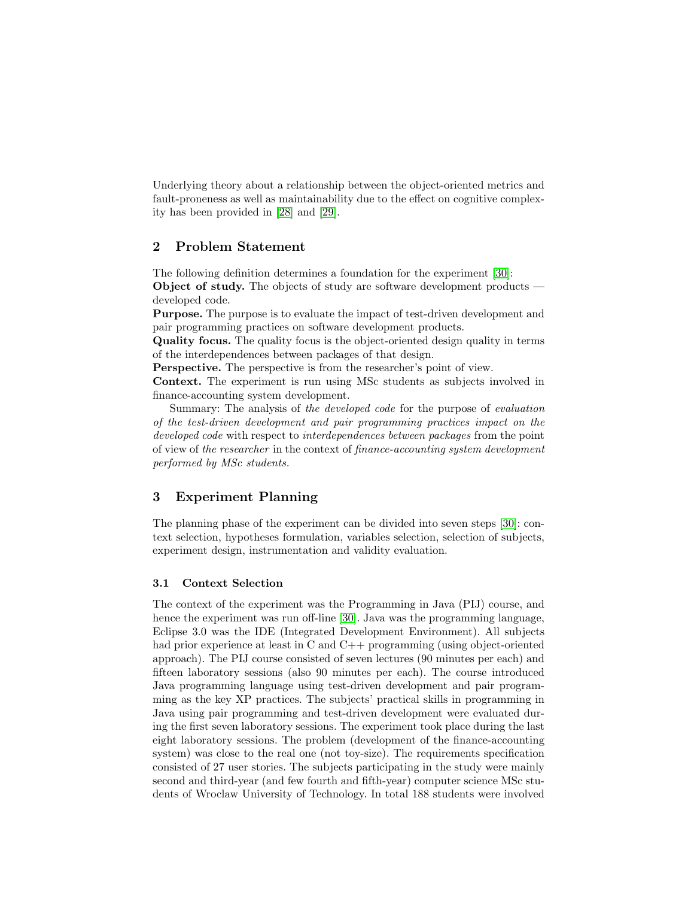Underlying theory about a relationship between the object-oriented metrics and fault-proneness as well as maintainability due to the effect on cognitive complexity has been provided in [\[28\]](#page-11-10) and [\[29\]](#page-11-11).

## 2 Problem Statement

The following definition determines a foundation for the experiment [\[30\]](#page-11-12): Object of study. The objects of study are software development products developed code.

Purpose. The purpose is to evaluate the impact of test-driven development and pair programming practices on software development products.

Quality focus. The quality focus is the object-oriented design quality in terms of the interdependences between packages of that design.

Perspective. The perspective is from the researcher's point of view.

Context. The experiment is run using MSc students as subjects involved in finance-accounting system development.

Summary: The analysis of the developed code for the purpose of evaluation of the test-driven development and pair programming practices impact on the developed code with respect to interdependences between packages from the point of view of the researcher in the context of finance-accounting system development performed by MSc students.

## 3 Experiment Planning

The planning phase of the experiment can be divided into seven steps [\[30\]](#page-11-12): context selection, hypotheses formulation, variables selection, selection of subjects, experiment design, instrumentation and validity evaluation.

#### 3.1 Context Selection

The context of the experiment was the Programming in Java (PIJ) course, and hence the experiment was run off-line [\[30\]](#page-11-12). Java was the programming language, Eclipse 3.0 was the IDE (Integrated Development Environment). All subjects had prior experience at least in C and C++ programming (using object-oriented approach). The PIJ course consisted of seven lectures (90 minutes per each) and fifteen laboratory sessions (also 90 minutes per each). The course introduced Java programming language using test-driven development and pair programming as the key XP practices. The subjects' practical skills in programming in Java using pair programming and test-driven development were evaluated during the first seven laboratory sessions. The experiment took place during the last eight laboratory sessions. The problem (development of the finance-accounting system) was close to the real one (not toy-size). The requirements specification consisted of 27 user stories. The subjects participating in the study were mainly second and third-year (and few fourth and fifth-year) computer science MSc students of Wroclaw University of Technology. In total 188 students were involved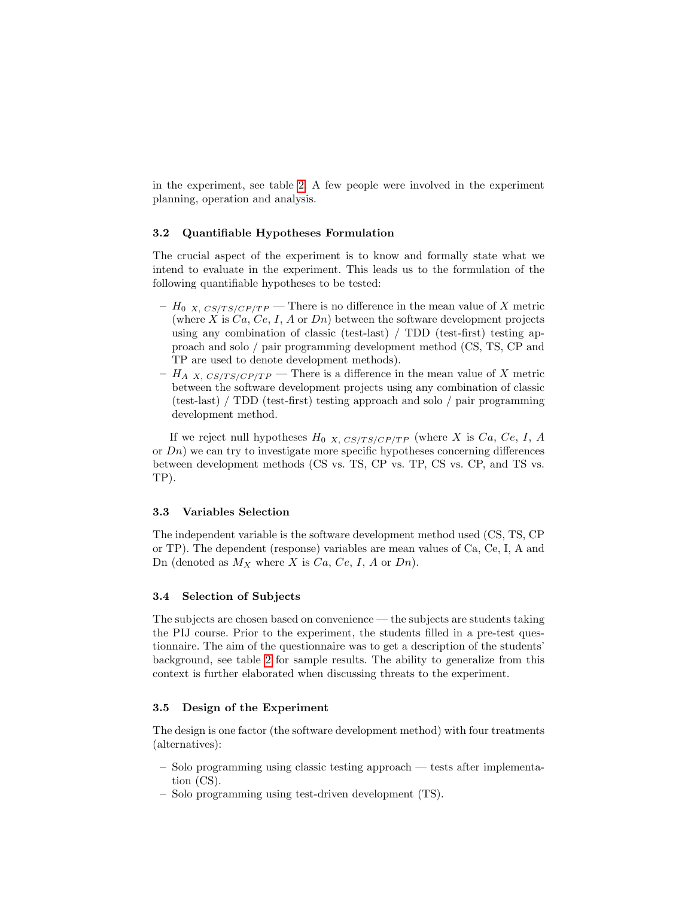in the experiment, see table [2.](#page-5-0) A few people were involved in the experiment planning, operation and analysis.

#### 3.2 Quantifiable Hypotheses Formulation

The crucial aspect of the experiment is to know and formally state what we intend to evaluate in the experiment. This leads us to the formulation of the following quantifiable hypotheses to be tested:

- $H_{0}$  X, CS/TS/CP/TP There is no difference in the mean value of X metric (where X is  $Ca, Ce, I, A$  or  $Dn$ ) between the software development projects using any combination of classic (test-last) / TDD (test-first) testing approach and solo / pair programming development method (CS, TS, CP and TP are used to denote development methods).
- $H_{A X, CS/TS/CP/TP}$  There is a difference in the mean value of X metric between the software development projects using any combination of classic (test-last) / TDD (test-first) testing approach and solo / pair programming development method.

If we reject null hypotheses  $H_0$  x,  $CS/TS/CP/TP$  (where X is Ca, Ce, I, A or  $D_n$ ) we can try to investigate more specific hypotheses concerning differences between development methods (CS vs. TS, CP vs. TP, CS vs. CP, and TS vs. TP).

#### 3.3 Variables Selection

The independent variable is the software development method used (CS, TS, CP or TP). The dependent (response) variables are mean values of Ca, Ce, I, A and Dn (denoted as  $M_X$  where X is  $Ca, Ce, I, A$  or  $Dn$ ).

#### 3.4 Selection of Subjects

The subjects are chosen based on convenience — the subjects are students taking the PIJ course. Prior to the experiment, the students filled in a pre-test questionnaire. The aim of the questionnaire was to get a description of the students' background, see table [2](#page-5-0) for sample results. The ability to generalize from this context is further elaborated when discussing threats to the experiment.

#### <span id="page-4-0"></span>3.5 Design of the Experiment

The design is one factor (the software development method) with four treatments (alternatives):

- Solo programming using classic testing approach tests after implementation (CS).
- Solo programming using test-driven development (TS).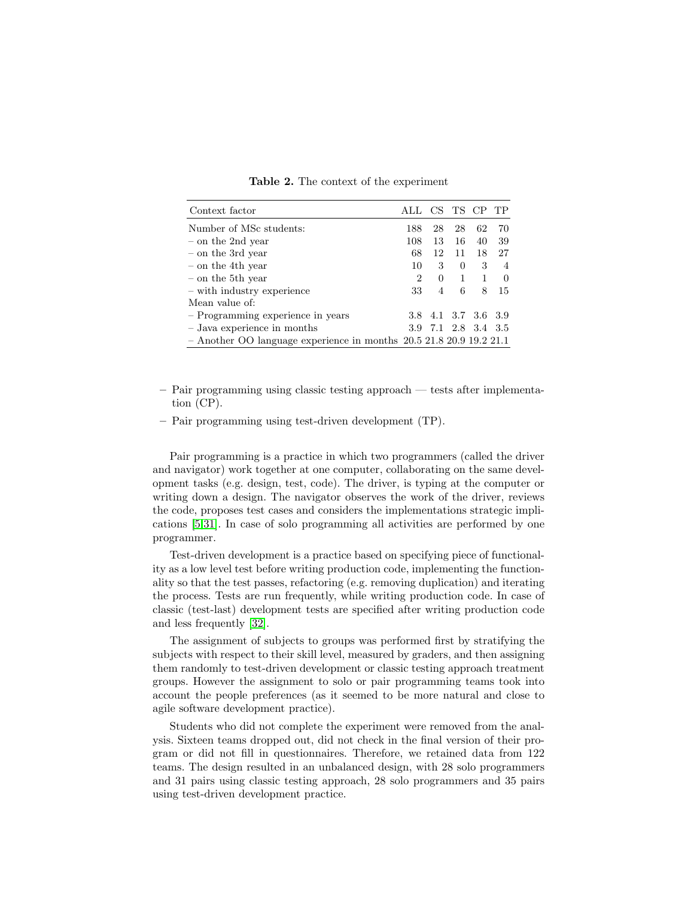<span id="page-5-0"></span>Table 2. The context of the experiment

| Context factor                                                      | ALL. |     | CS TS CP |                 | TP               |
|---------------------------------------------------------------------|------|-----|----------|-----------------|------------------|
| Number of MSc students:                                             | 188  | 28  | 28       | 62              | 70               |
| $-$ on the 2nd year                                                 | 108  | 13  | 16       | 40              | 39               |
| $-$ on the 3rd year                                                 | 68   | 12  | 11       | 18              | 27               |
| $-$ on the 4 <sup>th</sup> year                                     | 10   | 3   | 0        | 3               | $\overline{4}$   |
| $-$ on the 5 <sup>th</sup> year                                     | 2    | 0   | 1        |                 | $\left( \right)$ |
| - with industry experience                                          | 33   | 4   | 6        | 8               | -15              |
| Mean value of:                                                      |      |     |          |                 |                  |
| - Programming experience in years                                   | 3.8  |     |          | 4.1 3.7 3.6 3.9 |                  |
| - Java experience in months                                         | 3.9  | 7.1 | 2.8      |                 | 3.4 3.5          |
| $-$ Another OO language experience in months $20.521.820.919.221.1$ |      |     |          |                 |                  |

- Pair programming using classic testing approach tests after implementation (CP).
- Pair programming using test-driven development (TP).

Pair programming is a practice in which two programmers (called the driver and navigator) work together at one computer, collaborating on the same development tasks (e.g. design, test, code). The driver, is typing at the computer or writing down a design. The navigator observes the work of the driver, reviews the code, proposes test cases and considers the implementations strategic implications [\[5,](#page-10-4)[31\]](#page-11-13). In case of solo programming all activities are performed by one programmer.

Test-driven development is a practice based on specifying piece of functionality as a low level test before writing production code, implementing the functionality so that the test passes, refactoring (e.g. removing duplication) and iterating the process. Tests are run frequently, while writing production code. In case of classic (test-last) development tests are specified after writing production code and less frequently [\[32\]](#page-11-14).

The assignment of subjects to groups was performed first by stratifying the subjects with respect to their skill level, measured by graders, and then assigning them randomly to test-driven development or classic testing approach treatment groups. However the assignment to solo or pair programming teams took into account the people preferences (as it seemed to be more natural and close to agile software development practice).

Students who did not complete the experiment were removed from the analysis. Sixteen teams dropped out, did not check in the final version of their program or did not fill in questionnaires. Therefore, we retained data from 122 teams. The design resulted in an unbalanced design, with 28 solo programmers and 31 pairs using classic testing approach, 28 solo programmers and 35 pairs using test-driven development practice.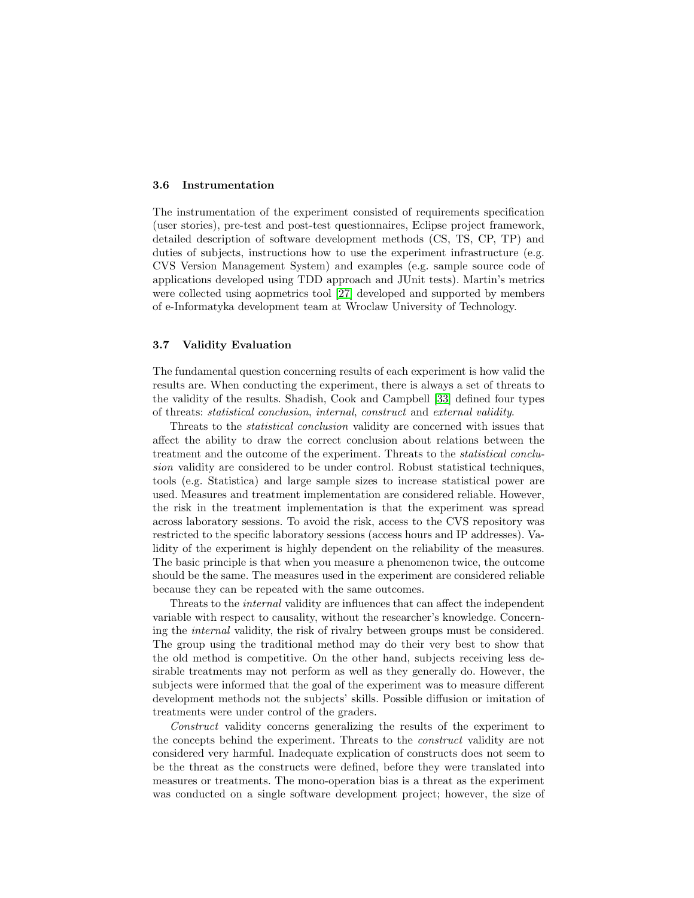#### <span id="page-6-0"></span>3.6 Instrumentation

The instrumentation of the experiment consisted of requirements specification (user stories), pre-test and post-test questionnaires, Eclipse project framework, detailed description of software development methods (CS, TS, CP, TP) and duties of subjects, instructions how to use the experiment infrastructure (e.g. CVS Version Management System) and examples (e.g. sample source code of applications developed using TDD approach and JUnit tests). Martin's metrics were collected using aopmetrics tool [\[27\]](#page-11-9) developed and supported by members of e-Informatyka development team at Wroclaw University of Technology.

#### 3.7 Validity Evaluation

The fundamental question concerning results of each experiment is how valid the results are. When conducting the experiment, there is always a set of threats to the validity of the results. Shadish, Cook and Campbell [\[33\]](#page-11-15) defined four types of threats: statistical conclusion, internal, construct and external validity.

Threats to the statistical conclusion validity are concerned with issues that affect the ability to draw the correct conclusion about relations between the treatment and the outcome of the experiment. Threats to the statistical conclusion validity are considered to be under control. Robust statistical techniques, tools (e.g. Statistica) and large sample sizes to increase statistical power are used. Measures and treatment implementation are considered reliable. However, the risk in the treatment implementation is that the experiment was spread across laboratory sessions. To avoid the risk, access to the CVS repository was restricted to the specific laboratory sessions (access hours and IP addresses). Validity of the experiment is highly dependent on the reliability of the measures. The basic principle is that when you measure a phenomenon twice, the outcome should be the same. The measures used in the experiment are considered reliable because they can be repeated with the same outcomes.

Threats to the internal validity are influences that can affect the independent variable with respect to causality, without the researcher's knowledge. Concerning the internal validity, the risk of rivalry between groups must be considered. The group using the traditional method may do their very best to show that the old method is competitive. On the other hand, subjects receiving less desirable treatments may not perform as well as they generally do. However, the subjects were informed that the goal of the experiment was to measure different development methods not the subjects' skills. Possible diffusion or imitation of treatments were under control of the graders.

Construct validity concerns generalizing the results of the experiment to the concepts behind the experiment. Threats to the construct validity are not considered very harmful. Inadequate explication of constructs does not seem to be the threat as the constructs were defined, before they were translated into measures or treatments. The mono-operation bias is a threat as the experiment was conducted on a single software development project; however, the size of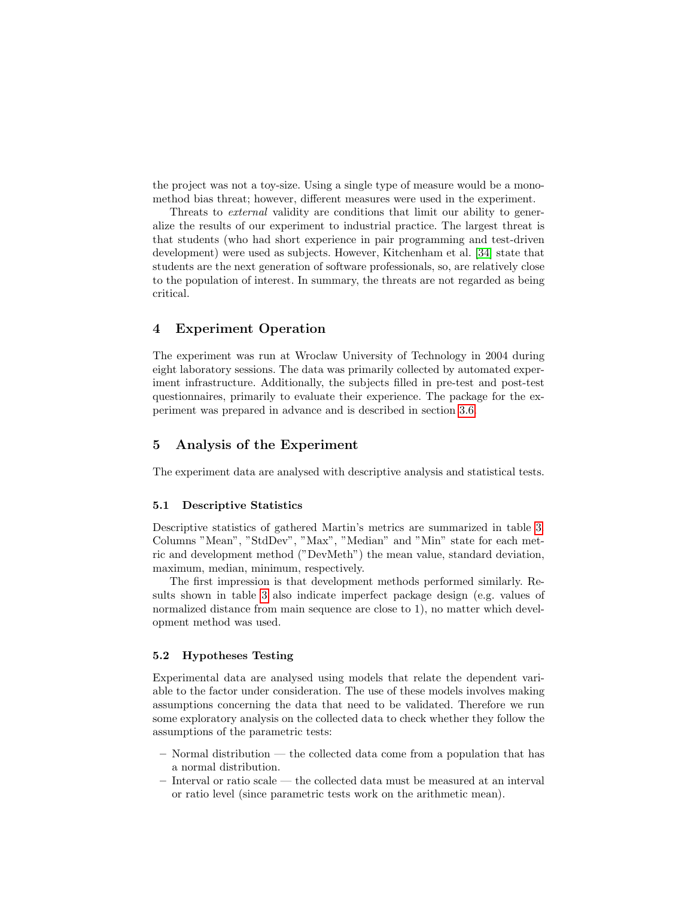the project was not a toy-size. Using a single type of measure would be a monomethod bias threat; however, different measures were used in the experiment.

Threats to external validity are conditions that limit our ability to generalize the results of our experiment to industrial practice. The largest threat is that students (who had short experience in pair programming and test-driven development) were used as subjects. However, Kitchenham et al. [\[34\]](#page-11-16) state that students are the next generation of software professionals, so, are relatively close to the population of interest. In summary, the threats are not regarded as being critical.

## 4 Experiment Operation

The experiment was run at Wroclaw University of Technology in 2004 during eight laboratory sessions. The data was primarily collected by automated experiment infrastructure. Additionally, the subjects filled in pre-test and post-test questionnaires, primarily to evaluate their experience. The package for the experiment was prepared in advance and is described in section [3.6.](#page-6-0)

## 5 Analysis of the Experiment

The experiment data are analysed with descriptive analysis and statistical tests.

#### 5.1 Descriptive Statistics

Descriptive statistics of gathered Martin's metrics are summarized in table [3.](#page-8-0) Columns "Mean", "StdDev", "Max", "Median" and "Min" state for each metric and development method ("DevMeth") the mean value, standard deviation, maximum, median, minimum, respectively.

The first impression is that development methods performed similarly. Results shown in table [3](#page-8-0) also indicate imperfect package design (e.g. values of normalized distance from main sequence are close to 1), no matter which development method was used.

#### 5.2 Hypotheses Testing

Experimental data are analysed using models that relate the dependent variable to the factor under consideration. The use of these models involves making assumptions concerning the data that need to be validated. Therefore we run some exploratory analysis on the collected data to check whether they follow the assumptions of the parametric tests:

- Normal distribution the collected data come from a population that has a normal distribution.
- Interval or ratio scale the collected data must be measured at an interval or ratio level (since parametric tests work on the arithmetic mean).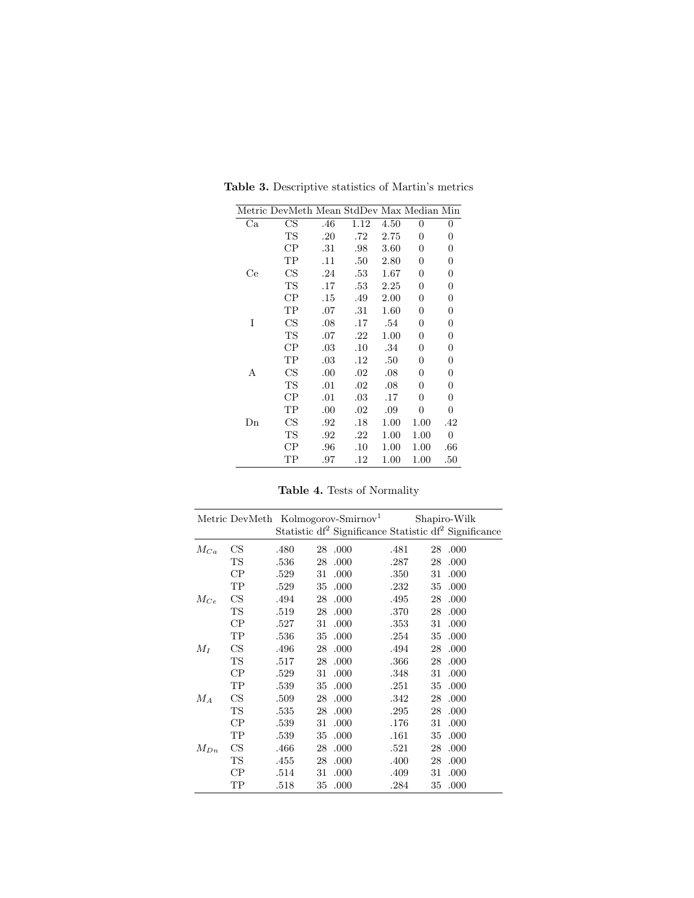<span id="page-8-0"></span>

|    | Metric DevMeth Mean StdDev Max Median Min |     |         |      |                |                |
|----|-------------------------------------------|-----|---------|------|----------------|----------------|
| Ca | CS                                        | .46 | 1.12    | 4.50 | $\overline{0}$ | 0              |
|    | TS                                        | .20 | .72     | 2.75 | 0              | 0              |
|    | $\rm CP$                                  | .31 | .98     | 3.60 | 0              | 0              |
|    | TP                                        | .11 | .50     | 2.80 | 0              | 0              |
| Сe | CS                                        | .24 | .53     | 1.67 | $\overline{0}$ | $\overline{0}$ |
|    | TS                                        | .17 | .53     | 2.25 | $\overline{0}$ | $\overline{0}$ |
|    | СP                                        | .15 | .49     | 2.00 | 0              | 0              |
|    | TP                                        | .07 | .31     | 1.60 | 0              | $\overline{0}$ |
| I  | CS                                        | .08 | .17     | .54  | 0              | 0              |
|    | TS                                        | .07 | .22     | 1.00 | 0              | 0              |
|    | $\rm CP$                                  | .03 | $.10\,$ | .34  | 0              | 0              |
|    | TP                                        | .03 | .12     | .50  | 0              | 0              |
| А  | CS                                        | .00 | .02     | .08  | 0              | 0              |
|    | TS                                        | .01 | .02     | .08  | 0              | 0              |
|    | $\rm CP$                                  | .01 | .03     | .17  | 0              | 0              |
|    | TP                                        | .00 | $.02\,$ | .09  | $\overline{0}$ | 0              |
| Dn | CS                                        | .92 | .18     | 1.00 | 1.00           | .42            |
|    | TS                                        | .92 | .22     | 1.00 | 1.00           | $\overline{0}$ |
|    | СP                                        | .96 | $.10\,$ | 1.00 | 1.00           | .66            |
|    | TР                                        | .97 | .12     | 1.00 | 1.00           | .50            |

Table 3. Descriptive statistics of Martin's metrics

<span id="page-8-1"></span>

|  |  |  |  | Table 4. Tests of Normality |  |
|--|--|--|--|-----------------------------|--|
|--|--|--|--|-----------------------------|--|

|          |             |      |    | Metric DevMeth Kolmogorov-Smirnov <sup>1</sup> |      |    | Shapiro-Wilk                                                                  |
|----------|-------------|------|----|------------------------------------------------|------|----|-------------------------------------------------------------------------------|
|          |             |      |    |                                                |      |    | Statistic df <sup>2</sup> Significance Statistic df <sup>2</sup> Significance |
| $M_{Ca}$ | $_{\rm CS}$ | .480 | 28 | .000                                           | .481 | 28 | .000                                                                          |
|          | TS          | .536 | 28 | .000                                           | .287 | 28 | .000                                                                          |
|          | CP          | .529 | 31 | .000                                           | .350 | 31 | .000                                                                          |
|          | TP          | .529 | 35 | .000                                           | .232 | 35 | .000                                                                          |
| $M_{Ce}$ | CS          | .494 | 28 | .000                                           | .495 | 28 | .000                                                                          |
|          | <b>TS</b>   | .519 | 28 | .000                                           | .370 | 28 | .000                                                                          |
|          | CP          | .527 | 31 | .000                                           | .353 | 31 | .000                                                                          |
|          | TP          | .536 | 35 | .000                                           | .254 | 35 | .000                                                                          |
| $M_I$    | CS          | .496 | 28 | .000                                           | .494 | 28 | .000                                                                          |
|          | <b>TS</b>   | .517 | 28 | .000                                           | .366 | 28 | .000                                                                          |
|          | CP          | .529 | 31 | .000                                           | .348 | 31 | .000                                                                          |
|          | TP          | .539 | 35 | .000                                           | .251 | 35 | .000                                                                          |
| $M_A$    | CS          | .509 | 28 | .000                                           | .342 | 28 | .000                                                                          |
|          | TS          | .535 | 28 | .000                                           | .295 | 28 | .000                                                                          |
|          | $\rm CP$    | .539 | 31 | .000                                           | .176 | 31 | .000                                                                          |
|          | TP          | .539 | 35 | .000                                           | .161 | 35 | .000                                                                          |
| $M_{Dn}$ | CS          | .466 | 28 | .000                                           | .521 | 28 | .000                                                                          |
|          | TS          | .455 | 28 | .000                                           | .400 | 28 | .000                                                                          |
|          | CP          | .514 | 31 | .000                                           | .409 | 31 | .000                                                                          |
|          | TР          | .518 | 35 | .000                                           | .284 | 35 | .000                                                                          |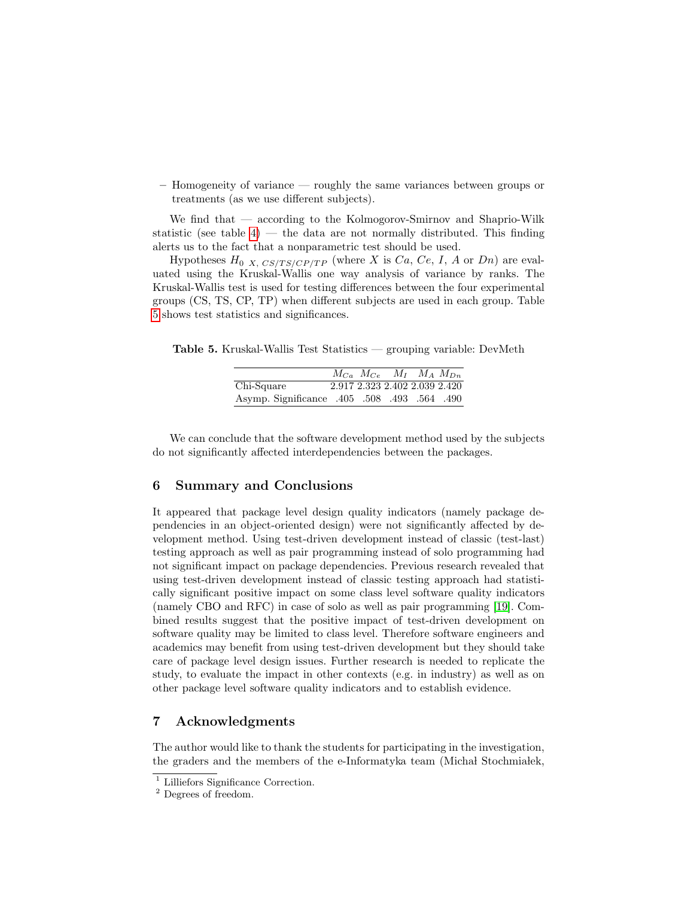– Homogeneity of variance — roughly the same variances between groups or treatments (as we use different subjects).

We find that — according to the Kolmogorov-Smirnov and Shaprio-Wilk statistic (see table [4\)](#page-8-1) — the data are not normally distributed. This finding alerts us to the fact that a nonparametric test should be used.

Hypotheses  $H_0$  X,  $CS/TS/CP/TP$  (where X is Ca, Ce, I, A or Dn) are evaluated using the Kruskal-Wallis one way analysis of variance by ranks. The Kruskal-Wallis test is used for testing differences between the four experimental groups (CS, TS, CP, TP) when different subjects are used in each group. Table [5](#page-9-0) shows test statistics and significances.

Table 5. Kruskal-Wallis Test Statistics — grouping variable: DevMeth

<span id="page-9-0"></span>

|                                              |  |  | $M_{Ca}$ $M_{Ce}$ $M_I$ $M_A$ $M_{Dn}$ |
|----------------------------------------------|--|--|----------------------------------------|
| Chi-Square                                   |  |  | 2.917 2.323 2.402 2.039 2.420          |
| Asymp. Significance .405 .508 .493 .564 .490 |  |  |                                        |

We can conclude that the software development method used by the subjects do not significantly affected interdependencies between the packages.

## 6 Summary and Conclusions

It appeared that package level design quality indicators (namely package dependencies in an object-oriented design) were not significantly affected by development method. Using test-driven development instead of classic (test-last) testing approach as well as pair programming instead of solo programming had not significant impact on package dependencies. Previous research revealed that using test-driven development instead of classic testing approach had statistically significant positive impact on some class level software quality indicators (namely CBO and RFC) in case of solo as well as pair programming [\[19\]](#page-11-1). Combined results suggest that the positive impact of test-driven development on software quality may be limited to class level. Therefore software engineers and academics may benefit from using test-driven development but they should take care of package level design issues. Further research is needed to replicate the study, to evaluate the impact in other contexts (e.g. in industry) as well as on other package level software quality indicators and to establish evidence.

## 7 Acknowledgments

The author would like to thank the students for participating in the investigation, the graders and the members of the e-Informatyka team (Michał Stochmiałek,

<sup>&</sup>lt;sup>1</sup> Lilliefors Significance Correction.

<sup>2</sup> Degrees of freedom.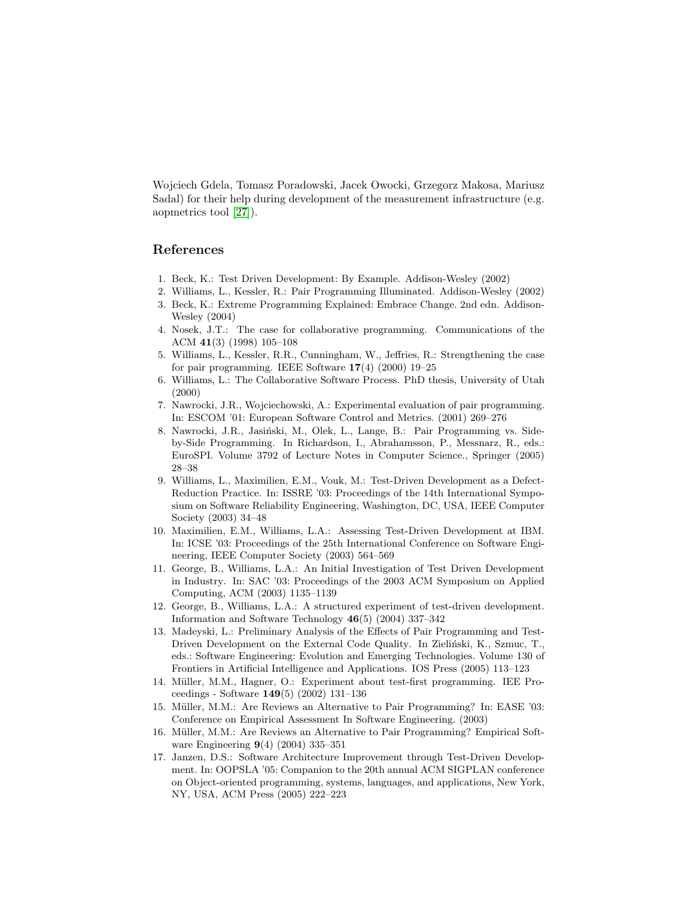Wojciech Gdela, Tomasz Poradowski, Jacek Owocki, Grzegorz Makosa, Mariusz Sadal) for their help during development of the measurement infrastructure (e.g. aopmetrics tool [\[27\]](#page-11-9)).

## References

- <span id="page-10-0"></span>1. Beck, K.: Test Driven Development: By Example. Addison-Wesley (2002)
- <span id="page-10-1"></span>2. Williams, L., Kessler, R.: Pair Programming Illuminated. Addison-Wesley (2002)
- <span id="page-10-2"></span>3. Beck, K.: Extreme Programming Explained: Embrace Change. 2nd edn. Addison-Wesley (2004)
- <span id="page-10-3"></span>4. Nosek, J.T.: The case for collaborative programming. Communications of the ACM 41(3) (1998) 105–108
- <span id="page-10-4"></span>5. Williams, L., Kessler, R.R., Cunningham, W., Jeffries, R.: Strengthening the case for pair programming. IEEE Software  $17(4)$  (2000) 19–25
- <span id="page-10-5"></span>6. Williams, L.: The Collaborative Software Process. PhD thesis, University of Utah (2000)
- <span id="page-10-6"></span>7. Nawrocki, J.R., Wojciechowski, A.: Experimental evaluation of pair programming. In: ESCOM '01: European Software Control and Metrics. (2001) 269–276
- <span id="page-10-7"></span>8. Nawrocki, J.R., Jasiński, M., Olek, L., Lange, B.: Pair Programming vs. Sideby-Side Programming. In Richardson, I., Abrahamsson, P., Messnarz, R., eds.: EuroSPI. Volume 3792 of Lecture Notes in Computer Science., Springer (2005) 28–38
- <span id="page-10-8"></span>9. Williams, L., Maximilien, E.M., Vouk, M.: Test-Driven Development as a Defect-Reduction Practice. In: ISSRE '03: Proceedings of the 14th International Symposium on Software Reliability Engineering, Washington, DC, USA, IEEE Computer Society (2003) 34–48
- <span id="page-10-9"></span>10. Maximilien, E.M., Williams, L.A.: Assessing Test-Driven Development at IBM. In: ICSE '03: Proceedings of the 25th International Conference on Software Engineering, IEEE Computer Society (2003) 564–569
- <span id="page-10-10"></span>11. George, B., Williams, L.A.: An Initial Investigation of Test Driven Development in Industry. In: SAC '03: Proceedings of the 2003 ACM Symposium on Applied Computing, ACM (2003) 1135–1139
- <span id="page-10-11"></span>12. George, B., Williams, L.A.: A structured experiment of test-driven development. Information and Software Technology 46(5) (2004) 337–342
- <span id="page-10-12"></span>13. Madeyski, L.: Preliminary Analysis of the Effects of Pair Programming and Test-Driven Development on the External Code Quality. In Zieliński, K., Szmuc, T., eds.: Software Engineering: Evolution and Emerging Technologies. Volume 130 of Frontiers in Artificial Intelligence and Applications. IOS Press (2005) 113–123
- <span id="page-10-13"></span>14. Müller, M.M., Hagner, O.: Experiment about test-first programming. IEE Proceedings - Software 149(5) (2002) 131–136
- <span id="page-10-14"></span>15. Müller, M.M.: Are Reviews an Alternative to Pair Programming? In: EASE '03: Conference on Empirical Assessment In Software Engineering. (2003)
- <span id="page-10-15"></span>16. Müller, M.M.: Are Reviews an Alternative to Pair Programming? Empirical Software Engineering 9(4) (2004) 335–351
- <span id="page-10-16"></span>17. Janzen, D.S.: Software Architecture Improvement through Test-Driven Development. In: OOPSLA '05: Companion to the 20th annual ACM SIGPLAN conference on Object-oriented programming, systems, languages, and applications, New York, NY, USA, ACM Press (2005) 222–223